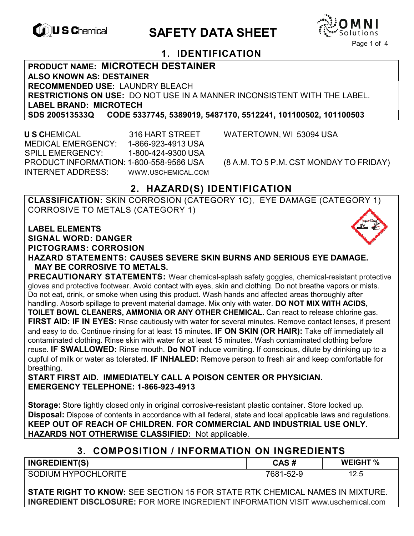

# **CONSCHIPTION CONTRACTES**



## **1. IDENTIFICATION**

**PRODUCT NAME: MICROTECH DESTAINER ALSO KNOWN AS: DESTAINER RECOMMENDED USE:** LAUNDRY BLEACH **RESTRICTIONS ON USE:** DO NOT USE IN A MANNER INCONSISTENT WITH THE LABEL. **LABEL BRAND: MICROTECH SDS 200513533Q CODE 5337745, 5389019, 5487170, 5512241, 101100502, 101100503** 

 **U S C**HEMICAL 316 HART STREET WATERTOWN, WI 53094 USA MEDICAL EMERGENCY: 1-866-923-4913 USA SPILL EMERGENCY: 1-800-424-9300 USA PRODUCT INFORMATION: 1-800-558-9566 USA (8 A.M. TO 5 P.M. CST MONDAY TO FRIDAY) INTERNET ADDRESS: WWW.USCHEMICAL.COM

## **2. HAZARD(S) IDENTIFICATION**

**CLASSIFICATION:** SKIN CORROSION (CATEGORY 1C), EYE DAMAGE (CATEGORY 1) CORROSIVE TO METALS (CATEGORY 1)

**LABEL ELEMENTS SIGNAL WORD: DANGER**

**PICTOGRAMS: CORROSION**

**HAZARD STATEMENTS: CAUSES SEVERE SKIN BURNS AND SERIOUS EYE DAMAGE. MAY BE CORROSIVE TO METALS.** 

**PRECAUTIONARY STATEMENTS:** Wear chemical-splash safety goggles, chemical-resistant protective gloves and protective footwear. Avoid contact with eyes, skin and clothing. Do not breathe vapors or mists. Do not eat, drink, or smoke when using this product. Wash hands and affected areas thoroughly after handling. Absorb spillage to prevent material damage. Mix only with water. **DO NOT MIX WITH ACIDS, TOILET BOWL CLEANERS, AMMONIA OR ANY OTHER CHEMICAL.** Can react to release chlorine gas. **FIRST AID: IF IN EYES:** Rinse cautiously with water for several minutes. Remove contact lenses, if present and easy to do. Continue rinsing for at least 15 minutes. **IF ON SKIN (OR HAIR):** Take off immediately all contaminated clothing. Rinse skin with water for at least 15 minutes. Wash contaminated clothing before reuse. **IF SWALLOWED:** Rinse mouth. **Do NOT** induce vomiting. If conscious, dilute by drinking up to a cupful of milk or water as tolerated. **IF INHALED:** Remove person to fresh air and keep comfortable for breathing.

**START FIRST AID. IMMEDIATELY CALL A POISON CENTER OR PHYSICIAN. EMERGENCY TELEPHONE: 1-866-923-4913** 

**Storage:** Store tightly closed only in original corrosive-resistant plastic container. Store locked up. **Disposal:** Dispose of contents in accordance with all federal, state and local applicable laws and regulations. **KEEP OUT OF REACH OF CHILDREN. FOR COMMERCIAL AND INDUSTRIAL USE ONLY. HAZARDS NOT OTHERWISE CLASSIFIED:** Not applicable.

| 3. COMPOSITION / INFORMATION ON INGREDIENTS |           |                 |
|---------------------------------------------|-----------|-----------------|
| <b>INGREDIENT(S)</b>                        | CAS#      | <b>WEIGHT %</b> |
| SODIUM HYPOCHLORITE                         | 7681-52-9 | 12.5            |

**STATE RIGHT TO KNOW:** SEE SECTION 15 FOR STATE RTK CHEMICAL NAMES IN MIXTURE. **INGREDIENT DISCLOSURE:** FOR MORE INGREDIENT INFORMATION VISIT www.uschemical.com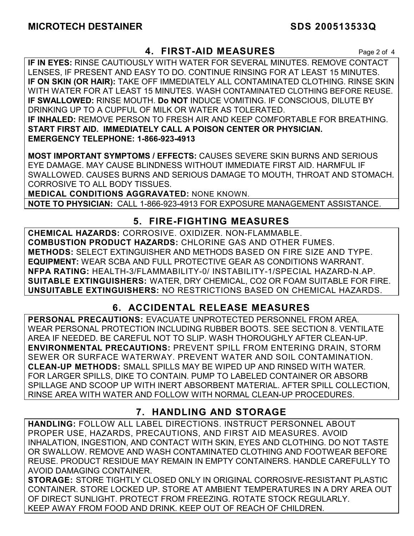## **4. FIRST-AID MEASURES** Page 2 of 4

**IF IN EYES:** RINSE CAUTIOUSLY WITH WATER FOR SEVERAL MINUTES. REMOVE CONTACT LENSES, IF PRESENT AND EASY TO DO. CONTINUE RINSING FOR AT LEAST 15 MINUTES. **IF ON SKIN (OR HAIR):** TAKE OFF IMMEDIATELY ALL CONTAMINATED CLOTHING. RINSE SKIN WITH WATER FOR AT LEAST 15 MINUTES. WASH CONTAMINATED CLOTHING BEFORE REUSE. **IF SWALLOWED:** RINSE MOUTH. **Do NOT** INDUCE VOMITING. IF CONSCIOUS, DILUTE BY DRINKING UP TO A CUPFUL OF MILK OR WATER AS TOLERATED. **IF INHALED:** REMOVE PERSON TO FRESH AIR AND KEEP COMFORTABLE FOR BREATHING. **START FIRST AID. IMMEDIATELY CALL A POISON CENTER OR PHYSICIAN. EMERGENCY TELEPHONE: 1-866-923-4913**

**MOST IMPORTANT SYMPTOMS / EFFECTS:** CAUSES SEVERE SKIN BURNS AND SERIOUS EYE DAMAGE. MAY CAUSE BLINDNESS WITHOUT IMMEDIATE FIRST AID. HARMFUL IF SWALLOWED. CAUSES BURNS AND SERIOUS DAMAGE TO MOUTH, THROAT AND STOMACH. CORROSIVE TO ALL BODY TISSUES.

**MEDICAL CONDITIONS AGGRAVATED:** NONE KNOWN.

**NOTE TO PHYSICIAN:** CALL 1-866-923-4913 FOR EXPOSURE MANAGEMENT ASSISTANCE.

## **5. FIRE-FIGHTING MEASURES**

**CHEMICAL HAZARDS:** CORROSIVE. OXIDIZER. NON-FLAMMABLE. **COMBUSTION PRODUCT HAZARDS:** CHLORINE GAS AND OTHER FUMES. **METHODS:** SELECT EXTINGUISHER AND METHODS BASED ON FIRE SIZE AND TYPE. **EQUIPMENT:** WEAR SCBA AND FULL PROTECTIVE GEAR AS CONDITIONS WARRANT. **NFPA RATING:** HEALTH-3/FLAMMABILITY-0/ INSTABILITY-1/SPECIAL HAZARD-N.AP. **SUITABLE EXTINGUISHERS:** WATER, DRY CHEMICAL, CO2 OR FOAM SUITABLE FOR FIRE. **UNSUITABLE EXTINGUISHERS:** NO RESTRICTIONS BASED ON CHEMICAL HAZARDS.

## **6. ACCIDENTAL RELEASE MEASURES**

**PERSONAL PRECAUTIONS:** EVACUATE UNPROTECTED PERSONNEL FROM AREA. WEAR PERSONAL PROTECTION INCLUDING RUBBER BOOTS. SEE SECTION 8. VENTILATE AREA IF NEEDED. BE CAREFUL NOT TO SLIP. WASH THOROUGHLY AFTER CLEAN-UP. **ENVIRONMENTAL PRECAUTIONS:** PREVENT SPILL FROM ENTERING DRAIN, STORM SEWER OR SURFACE WATERWAY. PREVENT WATER AND SOIL CONTAMINATION. **CLEAN-UP METHODS:** SMALL SPILLS MAY BE WIPED UP AND RINSED WITH WATER. FOR LARGER SPILLS, DIKE TO CONTAIN. PUMP TO LABELED CONTAINER OR ABSORB SPILLAGE AND SCOOP UP WITH INERT ABSORBENT MATERIAL. AFTER SPILL COLLECTION, RINSE AREA WITH WATER AND FOLLOW WITH NORMAL CLEAN-UP PROCEDURES.

## **7. HANDLING AND STORAGE**

**HANDLING:** FOLLOW ALL LABEL DIRECTIONS. INSTRUCT PERSONNEL ABOUT PROPER USE, HAZARDS, PRECAUTIONS, AND FIRST AID MEASURES. AVOID INHALATION, INGESTION, AND CONTACT WITH SKIN, EYES AND CLOTHING. DO NOT TASTE OR SWALLOW. REMOVE AND WASH CONTAMINATED CLOTHING AND FOOTWEAR BEFORE REUSE. PRODUCT RESIDUE MAY REMAIN IN EMPTY CONTAINERS. HANDLE CAREFULLY TO AVOID DAMAGING CONTAINER.

**STORAGE:** STORE TIGHTLY CLOSED ONLY IN ORIGINAL CORROSIVE-RESISTANT PLASTIC CONTAINER. STORE LOCKED UP. STORE AT AMBIENT TEMPERATURES IN A DRY AREA OUT OF DIRECT SUNLIGHT. PROTECT FROM FREEZING. ROTATE STOCK REGULARLY. KEEP AWAY FROM FOOD AND DRINK. KEEP OUT OF REACH OF CHILDREN.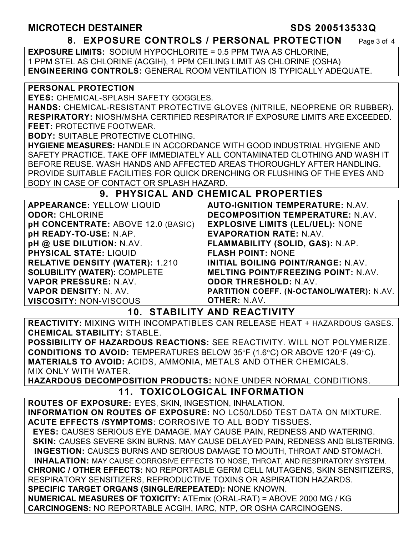### **MICROTECH DESTAINER SDS 200513533Q**

#### **8. EXPOSURE CONTROLS / PERSONAL PROTECTION** Page 3 of 4

**EXPOSURE LIMITS:** SODIUM HYPOCHLORITE = 0.5 PPM TWA AS CHLORINE, 1 PPM STEL AS CHLORINE (ACGIH), 1 PPM CEILING LIMIT AS CHLORINE (OSHA) **ENGINEERING CONTROLS:** GENERAL ROOM VENTILATION IS TYPICALLY ADEQUATE.

#### **PERSONAL PROTECTION**

**EYES:** CHEMICAL-SPLASH SAFETY GOGGLES.

**HANDS:** CHEMICAL-RESISTANT PROTECTIVE GLOVES (NITRILE, NEOPRENE OR RUBBER). **RESPIRATORY:** NIOSH/MSHA CERTIFIED RESPIRATOR IF EXPOSURE LIMITS ARE EXCEEDED. **FEET:** PROTECTIVE FOOTWEAR.

**BODY:** SUITABLE PROTECTIVE CLOTHING.

**HYGIENE MEASURES:** HANDLE IN ACCORDANCE WITH GOOD INDUSTRIAL HYGIENE AND SAFETY PRACTICE. TAKE OFF IMMEDIATELY ALL CONTAMINATED CLOTHING AND WASH IT BEFORE REUSE. WASH HANDS AND AFFECTED AREAS THOROUGHLY AFTER HANDLING. PROVIDE SUITABLE FACILITIES FOR QUICK DRENCHING OR FLUSHING OF THE EYES AND BODY IN CASE OF CONTACT OR SPLASH HAZARD.

## **9. PHYSICAL AND CHEMICAL PROPERTIES**

| <b>APPEARANCE: YELLOW LIQUID</b>          | <b>AUTO-IGNITION TEMPERATURE: N.AV.</b>    |
|-------------------------------------------|--------------------------------------------|
| <b>ODOR: CHLORINE</b>                     | DECOMPOSITION TEMPERATURE: N.AV.           |
| <b>pH CONCENTRATE: ABOVE 12.0 (BASIC)</b> | <b>EXPLOSIVE LIMITS (LEL/UEL): NONE</b>    |
| pH READY-TO-USE: N.AP.                    | <b>EVAPORATION RATE: N.AV.</b>             |
| pH @ USE DILUTION: N.AV.                  | FLAMMABILITY (SOLID, GAS): N.AP.           |
| <b>PHYSICAL STATE: LIQUID</b>             | <b>FLASH POINT: NONE</b>                   |
| <b>RELATIVE DENSITY (WATER): 1.210</b>    | <b>INITIAL BOILING POINT/RANGE: N.AV.</b>  |
| <b>SOLUBILITY (WATER): COMPLETE</b>       | <b>MELTING POINT/FREEZING POINT: N.AV.</b> |
| VAPOR PRESSURE: N.AV.                     | <b>ODOR THRESHOLD: N.AV.</b>               |
| <b>VAPOR DENSITY: N. AV.</b>              | PARTITION COEFF. (N-OCTANOL/WATER): N.AV.  |
| <b>VISCOSITY: NON-VISCOUS</b>             | <b>OTHER: N.AV.</b>                        |

**10. STABILITY AND REACTIVITY** 

**REACTIVITY:** MIXING WITH INCOMPATIBLES CAN RELEASE HEAT + HAZARDOUS GASES. **CHEMICAL STABILITY:** STABLE.

**POSSIBILITY OF HAZARDOUS REACTIONS:** SEE REACTIVITY. WILL NOT POLYMERIZE. **CONDITIONS TO AVOID:** TEMPERATURES BELOW 35°F (1.6°C) OR ABOVE 120°F (49°C). **MATERIALS TO AVOID:** ACIDS, AMMONIA, METALS AND OTHER CHEMICALS. MIX ONLY WITH WATER.

**HAZARDOUS DECOMPOSITION PRODUCTS:** NONE UNDER NORMAL CONDITIONS. **11. TOXICOLOGICAL INFORMATION** 

**ROUTES OF EXPOSURE:** EYES, SKIN, INGESTION, INHALATION. **INFORMATION ON ROUTES OF EXPOSURE:** NO LC50/LD50 TEST DATA ON MIXTURE. **ACUTE EFFECTS /SYMPTOMS**: CORROSIVE TO ALL BODY TISSUES.  **EYES:** CAUSES SERIOUS EYE DAMAGE. MAY CAUSE PAIN, REDNESS AND WATERING. **SKIN: CAUSES SEVERE SKIN BURNS. MAY CAUSE DELAYED PAIN, REDNESS AND BLISTERING. INGESTION:** CAUSES BURNS AND SERIOUS DAMAGE TO MOUTH, THROAT AND STOMACH. **INHALATION:** MAY CAUSE CORROSIVE EFFECTS TO NOSE, THROAT, AND RESPIRATORY SYSTEM. **CHRONIC / OTHER EFFECTS:** NO REPORTABLE GERM CELL MUTAGENS, SKIN SENSITIZERS, RESPIRATORY SENSITIZERS, REPRODUCTIVE TOXINS OR ASPIRATION HAZARDS. **SPECIFIC TARGET ORGANS (SINGLE/REPEATED):** NONE KNOWN. **NUMERICAL MEASURES OF TOXICITY:** ATEmix (ORAL-RAT) = ABOVE 2000 MG / KG **CARCINOGENS:** NO REPORTABLE ACGIH, IARC, NTP, OR OSHA CARCINOGENS.